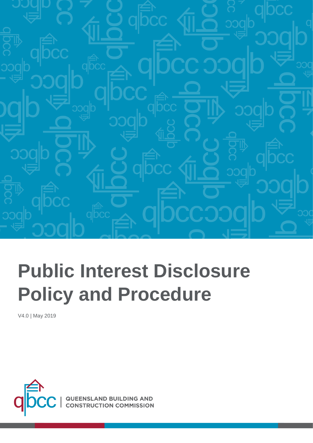

# **Public Interest Disclosure Policy and Procedure**

<u>V4.0 1999 - 1999 - 1999 - 1999 - 1999 - 1999 - 1999 - 1999 - 1999 - 1999 - 1999 - 1999 - 1999 - 1999 - 1999 -</u>

V4.0 | May 2019

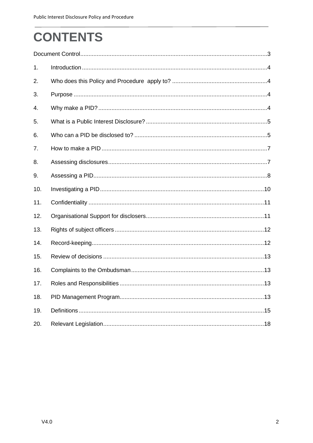# **CONTENTS**

| 1.  |  |
|-----|--|
| 2.  |  |
| 3.  |  |
| 4.  |  |
| 5.  |  |
| 6.  |  |
| 7.  |  |
| 8.  |  |
| 9.  |  |
| 10. |  |
| 11. |  |
| 12. |  |
| 13. |  |
| 14. |  |
| 15. |  |
| 16. |  |
| 17. |  |
| 18. |  |
| 19. |  |
| 20. |  |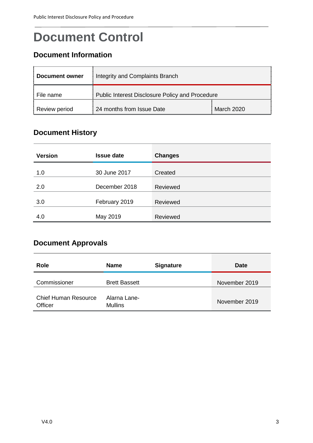### <span id="page-2-0"></span>**Document Control**

### **Document Information**

| Document owner | Integrity and Complaints Branch                 |            |  |
|----------------|-------------------------------------------------|------------|--|
| File name      | Public Interest Disclosure Policy and Procedure |            |  |
| Review period  | 24 months from Issue Date                       | March 2020 |  |

### **Document History**

| <b>Version</b> | <b>Issue date</b> | <b>Changes</b> |
|----------------|-------------------|----------------|
| 1.0            | 30 June 2017      | Created        |
| 2.0            | December 2018     | Reviewed       |
| 3.0            | February 2019     | Reviewed       |
| 4.0            | May 2019          | Reviewed       |

### **Document Approvals**

| Role                                   | <b>Name</b>                    | <b>Signature</b> | <b>Date</b>   |
|----------------------------------------|--------------------------------|------------------|---------------|
| Commissioner                           | <b>Brett Bassett</b>           |                  | November 2019 |
| <b>Chief Human Resource</b><br>Officer | Alarna Lane-<br><b>Mullins</b> |                  | November 2019 |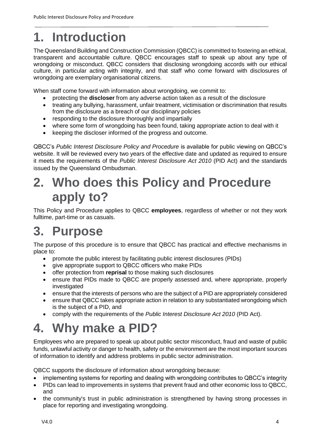## <span id="page-3-0"></span>**1. Introduction**

The Queensland Building and Construction Commission (QBCC) is committed to fostering an ethical, transparent and accountable culture. QBCC encourages staff to speak up about any type of wrongdoing or misconduct. QBCC considers that disclosing wrongdoing accords with our ethical culture, in particular acting with integrity, and that staff who come forward with disclosures of wrongdoing are exemplary organisational citizens.

When staff come forward with information about wrongdoing, we commit to:

- protecting the **discloser** from any adverse action taken as a result of the disclosure
- treating any bullying, harassment, unfair treatment, victimisation or discrimination that results from the disclosure as a breach of our disciplinary policies
- responding to the disclosure thoroughly and impartially
- where some form of wrongdoing has been found, taking appropriate action to deal with it
- keeping the discloser informed of the progress and outcome.

QBCC's *Public Interest Disclosure Policy and Procedure* is available for public viewing on QBCC's website. It will be reviewed every two years of the effective date and updated as required to ensure it meets the requirements of the *Public Interest Disclosure Act 2010* (PID Act) and the standards issued by the Queensland Ombudsman.

### <span id="page-3-1"></span>**2. Who does this Policy and Procedure apply to?**

This Policy and Procedure applies to QBCC **employees**, regardless of whether or not they work fulltime, part-time or as casuals.

### <span id="page-3-2"></span>**3. Purpose**

The purpose of this procedure is to ensure that QBCC has practical and effective mechanisms in place to:

- promote the public interest by facilitating public interest disclosures (PIDs)
- give appropriate support to QBCC officers who make PIDs
- **•** offer protection from **reprisal** to those making such disclosures
- ensure that PIDs made to QBCC are properly assessed and, where appropriate, properly investigated
- ensure that the interests of persons who are the subject of a PID are appropriately considered
- ensure that QBCC takes appropriate action in relation to any substantiated wrongdoing which is the subject of a PID, and
- comply with the requirements of the *Public Interest Disclosure Act 2010* (PID Act).

### <span id="page-3-3"></span>**4. Why make a PID?**

Employees who are prepared to speak up about public sector misconduct, fraud and waste of public funds, unlawful activity or danger to health, safety or the environment are the most important sources of information to identify and address problems in public sector administration.

QBCC supports the disclosure of information about wrongdoing because:

- implementing systems for reporting and dealing with wrongdoing contributes to QBCC's integrity
- PIDs can lead to improvements in systems that prevent fraud and other economic loss to QBCC, and
- the community's trust in public administration is strengthened by having strong processes in place for reporting and investigating wrongdoing.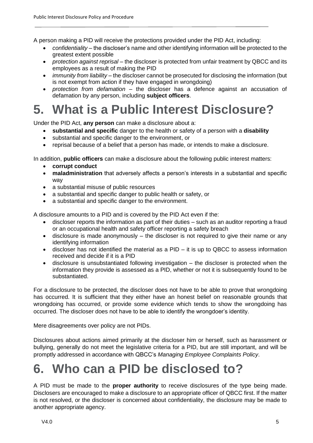A person making a PID will receive the protections provided under the PID Act, including:

- *confidentiality* the discloser's name and other identifying information will be protected to the greatest extent possible
- *protection against reprisal* the discloser is protected from unfair treatment by QBCC and its employees as a result of making the PID
- *immunity from liability* the discloser cannot be prosecuted for disclosing the information (but is not exempt from action if they have engaged in wrongdoing)
- *protection from defamation* the discloser has a defence against an accusation of defamation by any person, including **subject officers**.

### <span id="page-4-0"></span>**5. What is a Public Interest Disclosure?**

Under the PID Act, **any person** can make a disclosure about a:

- **substantial and specific** danger to the health or safety of a person with a **disability**
- substantial and specific danger to the environment, or
- reprisal because of a belief that a person has made, or intends to make a disclosure.

In addition, **public officers** can make a disclosure about the following public interest matters:

- **corrupt conduct**
- **maladministration** that adversely affects a person's interests in a substantial and specific way
- a substantial misuse of public resources
- a substantial and specific danger to public health or safety, or
- a substantial and specific danger to the environment.

A disclosure amounts to a PID and is covered by the PID Act even if the:

- discloser reports the information as part of their duties such as an auditor reporting a fraud or an occupational health and safety officer reporting a safety breach
- disclosure is made anonymously the discloser is not required to give their name or any identifying information
- discloser has not identified the material as a PID it is up to QBCC to assess information received and decide if it is a PID
- disclosure is unsubstantiated following investigation the discloser is protected when the information they provide is assessed as a PID, whether or not it is subsequently found to be substantiated.

For a disclosure to be protected, the discloser does not have to be able to prove that wrongdoing has occurred. It is sufficient that they either have an honest belief on reasonable grounds that wrongdoing has occurred, or provide some evidence which tends to show the wrongdoing has occurred. The discloser does not have to be able to identify the wrongdoer's identity.

Mere disagreements over policy are not PIDs.

Disclosures about actions aimed primarily at the discloser him or herself, such as harassment or bullying, generally do not meet the legislative criteria for a PID, but are still important, and will be promptly addressed in accordance with QBCC's *Managing Employee Complaints Policy*.

### <span id="page-4-1"></span>**6. Who can a PID be disclosed to?**

A PID must be made to the **proper authority** to receive disclosures of the type being made. Disclosers are encouraged to make a disclosure to an appropriate officer of QBCC first. If the matter is not resolved, or the discloser is concerned about confidentiality, the disclosure may be made to another appropriate agency.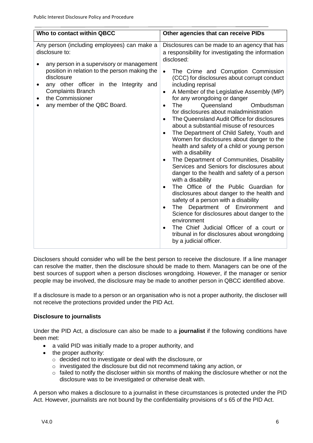| Who to contact within QBCC                                                                                                                                                                                                                                                                          | Other agencies that can receive PIDs                                                                                                                                                                                                                                                                                                                                                                                                                                                                                                                                                                                                                                                                                                                                                                                                                                                                                                                                                                                                                                                                                                                                                                                                                                            |
|-----------------------------------------------------------------------------------------------------------------------------------------------------------------------------------------------------------------------------------------------------------------------------------------------------|---------------------------------------------------------------------------------------------------------------------------------------------------------------------------------------------------------------------------------------------------------------------------------------------------------------------------------------------------------------------------------------------------------------------------------------------------------------------------------------------------------------------------------------------------------------------------------------------------------------------------------------------------------------------------------------------------------------------------------------------------------------------------------------------------------------------------------------------------------------------------------------------------------------------------------------------------------------------------------------------------------------------------------------------------------------------------------------------------------------------------------------------------------------------------------------------------------------------------------------------------------------------------------|
|                                                                                                                                                                                                                                                                                                     |                                                                                                                                                                                                                                                                                                                                                                                                                                                                                                                                                                                                                                                                                                                                                                                                                                                                                                                                                                                                                                                                                                                                                                                                                                                                                 |
| Any person (including employees) can make a<br>disclosure to:<br>any person in a supervisory or management<br>position in relation to the person making the<br>disclosure<br>any other officer in the Integrity and<br><b>Complaints Branch</b><br>the Commissioner<br>any member of the QBC Board. | Disclosures can be made to an agency that has<br>a responsibility for investigating the information<br>disclosed:<br>The Crime and Corruption Commission<br>$\bullet$<br>(CCC) for disclosures about corrupt conduct<br>including reprisal<br>A Member of the Legislative Assembly (MP)<br>٠<br>for any wrongdoing or danger<br>Queensland<br>Ombudsman<br>The<br>$\bullet$<br>for disclosures about maladministration<br>The Queensland Audit Office for disclosures<br>$\bullet$<br>about a substantial misuse of resources<br>The Department of Child Safety, Youth and<br>$\bullet$<br>Women for disclosures about danger to the<br>health and safety of a child or young person<br>with a disability<br>The Department of Communities, Disability<br>$\bullet$<br>Services and Seniors for disclosures about<br>danger to the health and safety of a person<br>with a disability<br>The Office of the Public Guardian for<br>$\bullet$<br>disclosures about danger to the health and<br>safety of a person with a disability<br>The Department of Environment<br>and<br>$\bullet$<br>Science for disclosures about danger to the<br>environment<br>The Chief Judicial Officer of a court or<br>٠<br>tribunal in for disclosures about wrongdoing<br>by a judicial officer. |
|                                                                                                                                                                                                                                                                                                     |                                                                                                                                                                                                                                                                                                                                                                                                                                                                                                                                                                                                                                                                                                                                                                                                                                                                                                                                                                                                                                                                                                                                                                                                                                                                                 |
|                                                                                                                                                                                                                                                                                                     |                                                                                                                                                                                                                                                                                                                                                                                                                                                                                                                                                                                                                                                                                                                                                                                                                                                                                                                                                                                                                                                                                                                                                                                                                                                                                 |

Disclosers should consider who will be the best person to receive the disclosure. If a line manager can resolve the matter, then the disclosure should be made to them. Managers can be one of the best sources of support when a person discloses wrongdoing. However, if the manager or senior people may be involved, the disclosure may be made to another person in QBCC identified above.

If a disclosure is made to a person or an organisation who is not a proper authority, the discloser will not receive the protections provided under the PID Act.

#### **Disclosure to journalists**

Under the PID Act, a disclosure can also be made to a **journalist** if the following conditions have been met:

- a valid PID was initially made to a proper authority, and
- the proper authority:
	- o decided not to investigate or deal with the disclosure, or
	- o investigated the disclosure but did not recommend taking any action, or
	- o failed to notify the discloser within six months of making the disclosure whether or not the disclosure was to be investigated or otherwise dealt with.

A person who makes a disclosure to a journalist in these circumstances is protected under the PID Act. However, journalists are not bound by the confidentiality provisions of s 65 of the PID Act.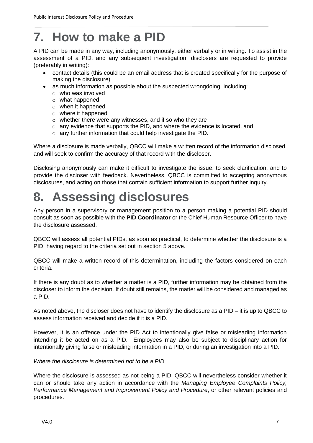### <span id="page-6-0"></span>**7. How to make a PID**

A PID can be made in any way, including anonymously, either verbally or in writing. To assist in the assessment of a PID, and any subsequent investigation, disclosers are requested to provide (preferably in writing):

- contact details (this could be an email address that is created specifically for the purpose of making the disclosure)
- as much information as possible about the suspected wrongdoing, including:
	- o who was involved
	- o what happened
	- o when it happened
	- o where it happened
	- o whether there were any witnesses, and if so who they are
	- $\circ$  any evidence that supports the PID, and where the evidence is located, and
	- o any further information that could help investigate the PID.

Where a disclosure is made verbally, QBCC will make a written record of the information disclosed, and will seek to confirm the accuracy of that record with the discloser.

Disclosing anonymously can make it difficult to investigate the issue, to seek clarification, and to provide the discloser with feedback. Nevertheless, QBCC is committed to accepting anonymous disclosures, and acting on those that contain sufficient information to support further inquiry.

### <span id="page-6-1"></span>**8. Assessing disclosures**

Any person in a supervisory or management position to a person making a potential PID should consult as soon as possible with the **PID Coordinator** or the Chief Human Resource Officer to have the disclosure assessed.

QBCC will assess all potential PIDs, as soon as practical, to determine whether the disclosure is a PID, having regard to the criteria set out in section 5 above.

QBCC will make a written record of this determination, including the factors considered on each criteria.

If there is any doubt as to whether a matter is a PID, further information may be obtained from the discloser to inform the decision. If doubt still remains, the matter will be considered and managed as a PID.

As noted above, the discloser does not have to identify the disclosure as a PID – it is up to QBCC to assess information received and decide if it is a PID.

However, it is an offence under the PID Act to intentionally give false or misleading information intending it be acted on as a PID. Employees may also be subject to disciplinary action for intentionally giving false or misleading information in a PID, or during an investigation into a PID.

#### *Where the disclosure is determined not to be a PID*

Where the disclosure is assessed as not being a PID, QBCC will nevertheless consider whether it can or should take any action in accordance with the *Managing Employee Complaints Policy, Performance Management and Improvement Policy and Procedure*, or other relevant policies and procedures.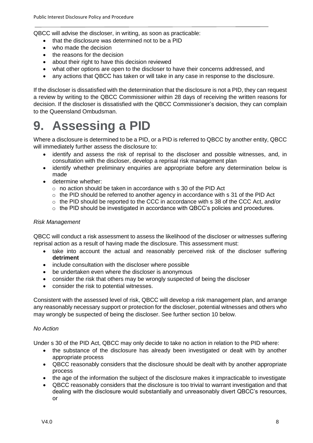QBCC will advise the discloser, in writing, as soon as practicable:

- that the disclosure was determined not to be a PID
- who made the decision
- the reasons for the decision
- about their right to have this decision reviewed
- what other options are open to the discloser to have their concerns addressed, and
- any actions that QBCC has taken or will take in any case in response to the disclosure.

If the discloser is dissatisfied with the determination that the disclosure is not a PID, they can request a review by writing to the QBCC Commissioner within 28 days of receiving the written reasons for decision. If the discloser is dissatisfied with the QBCC Commissioner's decision, they can complain to the Queensland Ombudsman.

### <span id="page-7-0"></span>**9. Assessing a PID**

Where a disclosure is determined to be a PID, or a PID is referred to QBCC by another entity, QBCC will immediately further assess the disclosure to:

- identify and assess the risk of reprisal to the discloser and possible witnesses, and, in consultation with the discloser, develop a reprisal risk management plan
- identify whether preliminary enquiries are appropriate before any determination below is made
- determine whether:
	- o no action should be taken in accordance with s 30 of the PID Act
	- $\circ$  the PID should be referred to another agency in accordance with s 31 of the PID Act
	- o the PID should be reported to the CCC in accordance with s 38 of the CCC Act, and/or
	- $\circ$  the PID should be investigated in accordance with QBCC's policies and procedures.

#### *Risk Management*

QBCC will conduct a risk assessment to assess the likelihood of the discloser or witnesses suffering reprisal action as a result of having made the disclosure. This assessment must:

- take into account the actual and reasonably perceived risk of the discloser suffering **detriment**
- include consultation with the discloser where possible
- be undertaken even where the discloser is anonymous
- consider the risk that others may be wrongly suspected of being the discloser
- consider the risk to potential witnesses.

Consistent with the assessed level of risk, QBCC will develop a risk management plan, and arrange any reasonably necessary support or protection for the discloser, potential witnesses and others who may wrongly be suspected of being the discloser. See further section 10 below.

#### *No Action*

Under s 30 of the PID Act, QBCC may only decide to take no action in relation to the PID where:

- the substance of the disclosure has already been investigated or dealt with by another appropriate process
- QBCC reasonably considers that the disclosure should be dealt with by another appropriate process
- the age of the information the subject of the disclosure makes it impracticable to investigate
- QBCC reasonably considers that the disclosure is too trivial to warrant investigation and that dealing with the disclosure would substantially and unreasonably divert QBCC's resources, or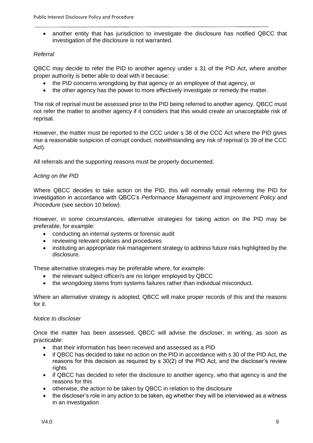• another entity that has jurisdiction to investigate the disclosure has notified QBCC that investigation of the disclosure is not warranted.

#### *Referral*

QBCC may decide to refer the PID to another agency under s 31 of the PID Act, where another proper authority is better able to deal with it because:

- the PID concerns wrongdoing by that agency or an employee of that agency, or
- the other agency has the power to more effectively investigate or remedy the matter.

The risk of reprisal must be assessed prior to the PID being referred to another agency. QBCC must not refer the matter to another agency if it considers that this would create an unacceptable risk of reprisal.

However, the matter must be reported to the CCC under s 38 of the CCC Act where the PID gives rise a reasonable suspicion of corrupt conduct, notwithstanding any risk of reprisal (s 39 of the CCC Act).

All referrals and the supporting reasons must be properly documented.

#### *Acting on the PID*

Where QBCC decides to take action on the PID, this will normally entail referring the PID for investigation in accordance with QBCC's *Performance Management and Improvement Policy and Procedure* (see section 10 below).

However, in some circumstances, alternative strategies for taking action on the PID may be preferable, for example:

- conducting an internal systems or forensic audit
- reviewing relevant policies and procedures
- instituting an appropriate risk management strategy to address future risks highlighted by the disclosure.

These alternative strategies may be preferable where, for example:

- the relevant subject officer/s are no longer employed by QBCC
- the wrongdoing stems from systems failures rather than individual misconduct.

Where an alternative strategy is adopted, QBCC will make proper records of this and the reasons for it.

#### *Notice to discloser*

Once the matter has been assessed, QBCC will advise the discloser, in writing, as soon as practicable:

- that their information has been received and assessed as a PID
- if QBCC has decided to take no action on the PID in accordance with s 30 of the PID Act, the reasons for this decision as required by s 30(2) of the PID Act, and the discloser's review rights
- if QBCC has decided to refer the disclosure to another agency, who that agency is and the reasons for this
- otherwise, the action to be taken by QBCC in relation to the disclosure
- the discloser's role in any action to be taken, eg whether they will be interviewed as a witness in an investigation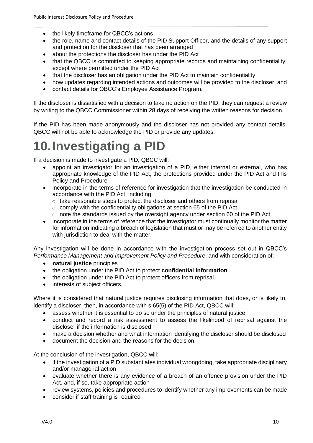- the likely timeframe for QBCC's actions
- the role, name and contact details of the PID Support Officer, and the details of any support and protection for the discloser that has been arranged
- about the protections the discloser has under the PID Act
- that the QBCC is committed to keeping appropriate records and maintaining confidentiality, except where permitted under the PID Act
- that the discloser has an obligation under the PID Act to maintain confidentiality
- how updates regarding intended actions and outcomes will be provided to the discloser, and
- contact details for QBCC's Employee Assistance Program.

If the discloser is dissatisfied with a decision to take no action on the PID, they can request a review by writing to the QBCC Commissioner within 28 days of receiving the written reasons for decision.

If the PID has been made anonymously and the discloser has not provided any contact details, QBCC will not be able to acknowledge the PID or provide any updates.

### <span id="page-9-0"></span>**10.Investigating a PID**

If a decision is made to investigate a PID, QBCC will:

- appoint an investigator for an investigation of a PID, either internal or external, who has appropriate knowledge of the PID Act, the protections provided under the PID Act and this Policy and Procedure
- incorporate in the terms of reference for investigation that the investigation be conducted in accordance with the PID Act, including:
	- o take reasonable steps to protect the discloser and others from reprisal
	- o comply with the confidentiality obligations at section 65 of the PID Act
	- $\circ$  note the standards issued by the oversight agency under section 60 of the PID Act
- incorporate in the terms of reference that the investigator must continually monitor the matter for information indicating a breach of legislation that must or may be referred to another entity with jurisdiction to deal with the matter.

Any investigation will be done in accordance with the investigation process set out in QBCC's *Performance Management and Improvement Policy and Procedure*, and with consideration of:

- **natural justice** principles
- the obligation under the PID Act to protect **confidential information**
- the obligation under the PID Act to protect officers from reprisal
- interests of subject officers.

Where it is considered that natural justice requires disclosing information that does, or is likely to, identify a discloser, then, in accordance with s 65(5) of the PID Act, QBCC will:

- assess whether it is essential to do so under the principles of natural justice
- conduct and record a risk assessment to assess the likelihood of reprisal against the discloser if the information is disclosed
- make a decision whether and what information identifying the discloser should be disclosed
- document the decision and the reasons for the decision.

At the conclusion of the investigation, QBCC will:

- if the investigation of a PID substantiates individual wrongdoing, take appropriate disciplinary and/or managerial action
- evaluate whether there is any evidence of a breach of an offence provision under the PID Act, and, if so, take appropriate action
- review systems, policies and procedures to identify whether any improvements can be made
- consider if staff training is required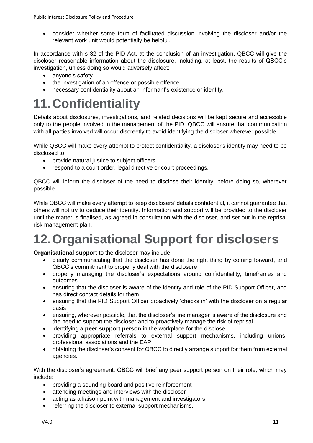consider whether some form of facilitated discussion involving the discloser and/or the relevant work unit would potentially be helpful.

In accordance with s 32 of the PID Act, at the conclusion of an investigation, QBCC will give the discloser reasonable information about the disclosure, including, at least, the results of QBCC's investigation, unless doing so would adversely affect:

- anyone's safety
- the investigation of an offence or possible offence
- necessary confidentiality about an informant's existence or identity.

### <span id="page-10-0"></span>**11.Confidentiality**

Details about disclosures, investigations, and related decisions will be kept secure and accessible only to the people involved in the management of the PID. QBCC will ensure that communication with all parties involved will occur discreetly to avoid identifying the discloser wherever possible.

While QBCC will make every attempt to protect confidentiality, a discloser's identity may need to be disclosed to:

- provide natural justice to subject officers
- respond to a court order, legal directive or court proceedings.

QBCC will inform the discloser of the need to disclose their identity, before doing so, wherever possible.

While QBCC will make every attempt to keep disclosers' details confidential, it cannot guarantee that others will not try to deduce their identity. Information and support will be provided to the discloser until the matter is finalised, as agreed in consultation with the discloser, and set out in the reprisal risk management plan.

# <span id="page-10-1"></span>**12.Organisational Support for disclosers**

**Organisational support** to the discloser may include:

- clearly communicating that the discloser has done the right thing by coming forward, and QBCC's commitment to properly deal with the disclosure
- properly managing the discloser's expectations around confidentiality, timeframes and outcomes
- ensuring that the discloser is aware of the identity and role of the PID Support Officer, and has direct contact details for them
- ensuring that the PID Support Officer proactively 'checks in' with the discloser on a regular basis
- ensuring, wherever possible, that the discloser's line manager is aware of the disclosure and the need to support the discloser and to proactively manage the risk of reprisal
- identifying a **peer support person** in the workplace for the disclose
- providing appropriate referrals to external support mechanisms, including unions, professional associations and the EAP
- obtaining the discloser's consent for QBCC to directly arrange support for them from external agencies.

With the discloser's agreement, QBCC will brief any peer support person on their role, which may include:

- providing a sounding board and positive reinforcement
- attending meetings and interviews with the discloser
- acting as a liaison point with management and investigators
- referring the discloser to external support mechanisms.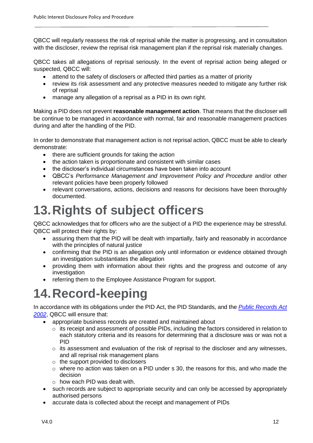QBCC will regularly reassess the risk of reprisal while the matter is progressing, and in consultation with the discloser, review the reprisal risk management plan if the reprisal risk materially changes.

QBCC takes all allegations of reprisal seriously. In the event of reprisal action being alleged or suspected, QBCC will:

- attend to the safety of disclosers or affected third parties as a matter of priority
- review its risk assessment and any protective measures needed to mitigate any further risk of reprisal
- manage any allegation of a reprisal as a PID in its own right.

Making a PID does not prevent **reasonable management action**. That means that the discloser will be continue to be managed in accordance with normal, fair and reasonable management practices during and after the handling of the PID.

In order to demonstrate that management action is not reprisal action, QBCC must be able to clearly demonstrate:

- there are sufficient grounds for taking the action
- the action taken is proportionate and consistent with similar cases
- the discloser's individual circumstances have been taken into account
- QBCC's *Performance Management and Improvement Policy and Procedure* and/or other relevant policies have been properly followed
- relevant conversations, actions, decisions and reasons for decisions have been thoroughly documented.

### <span id="page-11-0"></span>**13.Rights of subject officers**

QBCC acknowledges that for officers who are the subject of a PID the experience may be stressful. QBCC will protect their rights by:

- assuring them that the PID will be dealt with impartially, fairly and reasonably in accordance with the principles of natural justice
- confirming that the PID is an allegation only until information or evidence obtained through an investigation substantiates the allegation
- providing them with information about their rights and the progress and outcome of any investigation
- referring them to the Employee Assistance Program for support.

### <span id="page-11-1"></span>**14.Record-keeping**

In accordance with its obligations under the PID Act, the PID Standards, and the *Public Records Act 2002*, QBCC will ensure that:

- appropriate business records are created and maintained about
	- o its receipt and assessment of possible PIDs, including the factors considered in relation to each statutory criteria and its reasons for determining that a disclosure was or was not a PID
	- $\circ$  its assessment and evaluation of the risk of reprisal to the discloser and any witnesses, and all reprisal risk management plans
	- $\circ$  the support provided to disclosers
	- $\circ$  where no action was taken on a PID under s 30, the reasons for this, and who made the decision
	- o how each PID was dealt with.
- such records are subject to appropriate security and can only be accessed by appropriately authorised persons
- accurate data is collected about the receipt and management of PIDs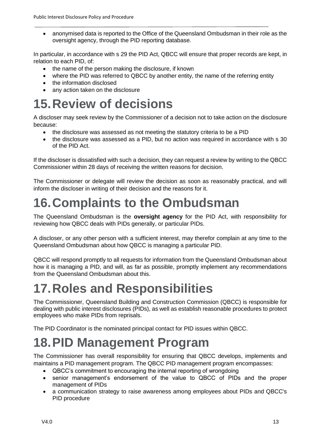anonymised data is reported to the Office of the Queensland Ombudsman in their role as the oversight agency, through the PID reporting database.

In particular, in accordance with s 29 the PID Act, QBCC will ensure that proper records are kept, in relation to each PID, of:

- the name of the person making the disclosure, if known
- where the PID was referred to QBCC by another entity, the name of the referring entity
- the information disclosed
- any action taken on the disclosure

### <span id="page-12-0"></span>**15.Review of decisions**

A discloser may seek review by the Commissioner of a decision not to take action on the disclosure because:

- the disclosure was assessed as not meeting the statutory criteria to be a PID
- the disclosure was assessed as a PID, but no action was required in accordance with s 30 of the PID Act.

If the discloser is dissatisfied with such a decision, they can request a review by writing to the QBCC Commissioner within 28 days of receiving the written reasons for decision.

The Commissioner or delegate will review the decision as soon as reasonably practical, and will inform the discloser in writing of their decision and the reasons for it.

### <span id="page-12-1"></span>**16.Complaints to the Ombudsman**

The Queensland Ombudsman is the **oversight agency** for the PID Act, with responsibility for reviewing how QBCC deals with PIDs generally, or particular PIDs.

A discloser, or any other person with a sufficient interest, may therefor complain at any time to the Queensland Ombudsman about how QBCC is managing a particular PID.

QBCC will respond promptly to all requests for information from the Queensland Ombudsman about how it is managing a PID, and will, as far as possible, promptly implement any recommendations from the Queensland Ombudsman about this.

### <span id="page-12-2"></span>**17.Roles and Responsibilities**

The Commissioner, Queensland Building and Construction Commission (QBCC) is responsible for dealing with public interest disclosures (PIDs), as well as establish reasonable procedures to protect employees who make PIDs from reprisals.

The PID Coordinator is the nominated principal contact for PID issues within QBCC.

### <span id="page-12-3"></span>**18.PID Management Program**

The Commissioner has overall responsibility for ensuring that QBCC develops, implements and maintains a PID management program. The QBCC PID management program encompasses:

- QBCC's commitment to encouraging the internal reporting of wrongdoing
- senior management's endorsement of the value to QBCC of PIDs and the proper management of PIDs
- a communication strategy to raise awareness among employees about PIDs and QBCC's PID procedure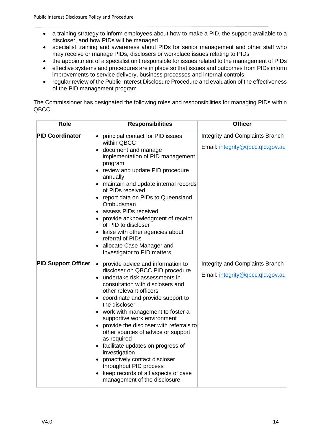- a training strategy to inform employees about how to make a PID, the support available to a discloser, and how PIDs will be managed
- specialist training and awareness about PIDs for senior management and other staff who may receive or manage PIDs, disclosers or workplace issues relating to PIDs
- the appointment of a specialist unit responsible for issues related to the management of PIDs
- effective systems and procedures are in place so that issues and outcomes from PIDs inform improvements to service delivery, business processes and internal controls
- regular review of the Public Interest Disclosure Procedure and evaluation of the effectiveness of the PID management program.

The Commissioner has designated the following roles and responsibilities for managing PIDs within QBCC:

| <b>Role</b>                | <b>Responsibilities</b>                                                                                                                                                                                                                                                                                                                                                                                                                                                                                                                                                                                        | <b>Officer</b>                                                      |
|----------------------------|----------------------------------------------------------------------------------------------------------------------------------------------------------------------------------------------------------------------------------------------------------------------------------------------------------------------------------------------------------------------------------------------------------------------------------------------------------------------------------------------------------------------------------------------------------------------------------------------------------------|---------------------------------------------------------------------|
| <b>PID Coordinator</b>     | • principal contact for PID issues<br>within QBCC<br>• document and manage<br>implementation of PID management<br>program<br>• review and update PID procedure<br>annually<br>• maintain and update internal records<br>of PIDs received<br>• report data on PIDs to Queensland<br>Ombudsman<br>• assess PIDs received<br>• provide acknowledgment of receipt<br>of PID to discloser<br>• liaise with other agencies about<br>referral of PIDs<br>• allocate Case Manager and<br>Investigator to PID matters                                                                                                   | Integrity and Complaints Branch<br>Email: integrity@qbcc.qld.gov.au |
| <b>PID Support Officer</b> | provide advice and information to<br>$\bullet$<br>discloser on QBCC PID procedure<br>• undertake risk assessments in<br>consultation with disclosers and<br>other relevant officers<br>• coordinate and provide support to<br>the discloser<br>• work with management to foster a<br>supportive work environment<br>provide the discloser with referrals to<br>other sources of advice or support<br>as required<br>• facilitate updates on progress of<br>investigation<br>• proactively contact discloser<br>throughout PID process<br>• keep records of all aspects of case<br>management of the disclosure | Integrity and Complaints Branch<br>Email: integrity@qbcc.qld.gov.au |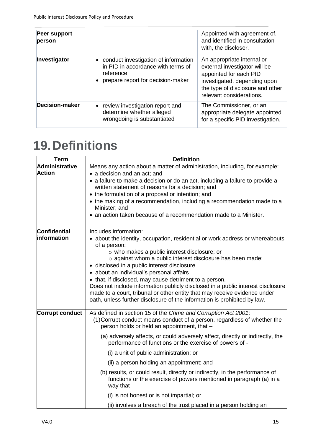| Peer support<br>person |                                                                                                                                | Appointed with agreement of,<br>and identified in consultation<br>with, the discloser.                                                                                                |
|------------------------|--------------------------------------------------------------------------------------------------------------------------------|---------------------------------------------------------------------------------------------------------------------------------------------------------------------------------------|
| Investigator           | • conduct investigation of information<br>in PID in accordance with terms of<br>reference<br>prepare report for decision-maker | An appropriate internal or<br>external investigator will be<br>appointed for each PID<br>investigated, depending upon<br>the type of disclosure and other<br>relevant considerations. |
| <b>Decision-maker</b>  | review investigation report and<br>determine whether alleged<br>wrongdoing is substantiated                                    | The Commissioner, or an<br>appropriate delegate appointed<br>for a specific PID investigation.                                                                                        |

## <span id="page-14-0"></span>**19.Definitions**

| <b>Term</b>                     | <b>Definition</b>                                                                                                                                                                                                                                                                                                                                                                                                                                                                                                                                                                                                                                                                                                   |
|---------------------------------|---------------------------------------------------------------------------------------------------------------------------------------------------------------------------------------------------------------------------------------------------------------------------------------------------------------------------------------------------------------------------------------------------------------------------------------------------------------------------------------------------------------------------------------------------------------------------------------------------------------------------------------------------------------------------------------------------------------------|
| Administrative<br><b>Action</b> | Means any action about a matter of administration, including, for example:<br>• a decision and an act; and<br>• a failure to make a decision or do an act, including a failure to provide a<br>written statement of reasons for a decision; and<br>• the formulation of a proposal or intention; and<br>• the making of a recommendation, including a recommendation made to a<br>Minister; and<br>• an action taken because of a recommendation made to a Minister.                                                                                                                                                                                                                                                |
| Confidential<br>information     | Includes information:<br>• about the identity, occupation, residential or work address or whereabouts<br>of a person:<br>o who makes a public interest disclosure; or<br>o against whom a public interest disclosure has been made;<br>· disclosed in a public interest disclosure<br>• about an individual's personal affairs<br>• that, if disclosed, may cause detriment to a person.<br>Does not include information publicly disclosed in a public interest disclosure<br>made to a court, tribunal or other entity that may receive evidence under<br>oath, unless further disclosure of the information is prohibited by law.                                                                                |
| <b>Corrupt conduct</b>          | As defined in section 15 of the Crime and Corruption Act 2001:<br>(1) Corrupt conduct means conduct of a person, regardless of whether the<br>person holds or held an appointment, that -<br>(a) adversely affects, or could adversely affect, directly or indirectly, the<br>performance of functions or the exercise of powers of -<br>(i) a unit of public administration; or<br>(ii) a person holding an appointment; and<br>(b) results, or could result, directly or indirectly, in the performance of<br>functions or the exercise of powers mentioned in paragraph (a) in a<br>way that -<br>(i) is not honest or is not impartial; or<br>(ii) involves a breach of the trust placed in a person holding an |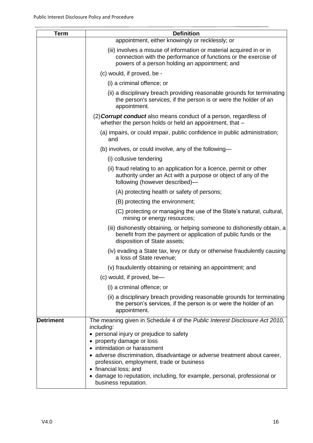| <b>Term</b>      | <b>Definition</b>                                                                                                                                                                                                                                                                                                                                                                                                                                          |
|------------------|------------------------------------------------------------------------------------------------------------------------------------------------------------------------------------------------------------------------------------------------------------------------------------------------------------------------------------------------------------------------------------------------------------------------------------------------------------|
|                  | appointment, either knowingly or recklessly; or                                                                                                                                                                                                                                                                                                                                                                                                            |
|                  | (iii) involves a misuse of information or material acquired in or in<br>connection with the performance of functions or the exercise of<br>powers of a person holding an appointment; and                                                                                                                                                                                                                                                                  |
|                  | (c) would, if proved, be -                                                                                                                                                                                                                                                                                                                                                                                                                                 |
|                  | (i) a criminal offence; or                                                                                                                                                                                                                                                                                                                                                                                                                                 |
|                  | (ii) a disciplinary breach providing reasonable grounds for terminating<br>the person's services, if the person is or were the holder of an<br>appointment.                                                                                                                                                                                                                                                                                                |
|                  | (2) <b>Corrupt conduct</b> also means conduct of a person, regardless of<br>whether the person holds or held an appointment, that -                                                                                                                                                                                                                                                                                                                        |
|                  | (a) impairs, or could impair, public confidence in public administration;<br>and                                                                                                                                                                                                                                                                                                                                                                           |
|                  | (b) involves, or could involve, any of the following-                                                                                                                                                                                                                                                                                                                                                                                                      |
|                  | (i) collusive tendering                                                                                                                                                                                                                                                                                                                                                                                                                                    |
|                  | (ii) fraud relating to an application for a licence, permit or other<br>authority under an Act with a purpose or object of any of the<br>following (however described)-                                                                                                                                                                                                                                                                                    |
|                  | (A) protecting health or safety of persons;                                                                                                                                                                                                                                                                                                                                                                                                                |
|                  | (B) protecting the environment;                                                                                                                                                                                                                                                                                                                                                                                                                            |
|                  | (C) protecting or managing the use of the State's natural, cultural,<br>mining or energy resources;                                                                                                                                                                                                                                                                                                                                                        |
|                  | (iii) dishonestly obtaining, or helping someone to dishonestly obtain, a<br>benefit from the payment or application of public funds or the<br>disposition of State assets;                                                                                                                                                                                                                                                                                 |
|                  | (iv) evading a State tax, levy or duty or otherwise fraudulently causing<br>a loss of State revenue;                                                                                                                                                                                                                                                                                                                                                       |
|                  | (v) fraudulently obtaining or retaining an appointment; and                                                                                                                                                                                                                                                                                                                                                                                                |
|                  | (c) would, if proved, be-                                                                                                                                                                                                                                                                                                                                                                                                                                  |
|                  | (i) a criminal offence; or                                                                                                                                                                                                                                                                                                                                                                                                                                 |
|                  | (ii) a disciplinary breach providing reasonable grounds for terminating<br>the person's services, if the person is or were the holder of an<br>appointment.                                                                                                                                                                                                                                                                                                |
| <b>Detriment</b> | The meaning given in Schedule 4 of the Public Interest Disclosure Act 2010,<br>including:<br>• personal injury or prejudice to safety<br>• property damage or loss<br>• intimidation or harassment<br>· adverse discrimination, disadvantage or adverse treatment about career,<br>profession, employment, trade or business<br>• financial loss; and<br>• damage to reputation, including, for example, personal, professional or<br>business reputation. |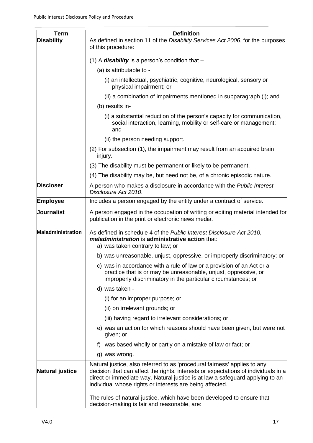| Term              | <b>Definition</b>                                                                                                                                                                                                                                                                                            |
|-------------------|--------------------------------------------------------------------------------------------------------------------------------------------------------------------------------------------------------------------------------------------------------------------------------------------------------------|
| <b>Disability</b> | As defined in section 11 of the Disability Services Act 2006, for the purposes<br>of this procedure:                                                                                                                                                                                                         |
|                   | (1) A <b>disability</b> is a person's condition that $-$                                                                                                                                                                                                                                                     |
|                   | (a) is attributable to -                                                                                                                                                                                                                                                                                     |
|                   | (i) an intellectual, psychiatric, cognitive, neurological, sensory or<br>physical impairment; or                                                                                                                                                                                                             |
|                   | (ii) a combination of impairments mentioned in subparagraph (i); and                                                                                                                                                                                                                                         |
|                   | (b) results in-                                                                                                                                                                                                                                                                                              |
|                   | (i) a substantial reduction of the person's capacity for communication,<br>social interaction, learning, mobility or self-care or management;<br>and                                                                                                                                                         |
|                   | (ii) the person needing support.                                                                                                                                                                                                                                                                             |
|                   | (2) For subsection (1), the impairment may result from an acquired brain<br>injury.                                                                                                                                                                                                                          |
|                   | (3) The disability must be permanent or likely to be permanent.                                                                                                                                                                                                                                              |
|                   | (4) The disability may be, but need not be, of a chronic episodic nature.                                                                                                                                                                                                                                    |
| <b>Discloser</b>  | A person who makes a disclosure in accordance with the Public Interest<br>Disclosure Act 2010.                                                                                                                                                                                                               |
| Employee          | Includes a person engaged by the entity under a contract of service.                                                                                                                                                                                                                                         |
| Journalist        | A person engaged in the occupation of writing or editing material intended for<br>publication in the print or electronic news media.                                                                                                                                                                         |
| Maladministration | As defined in schedule 4 of the Public Interest Disclosure Act 2010,<br>maladministration is administrative action that:<br>a) was taken contrary to law; or                                                                                                                                                 |
|                   | b) was unreasonable, unjust, oppressive, or improperly discriminatory; or                                                                                                                                                                                                                                    |
|                   | c) was in accordance with a rule of law or a provision of an Act or a<br>practice that is or may be unreasonable, unjust, oppressive, or<br>improperly discriminatory in the particular circumstances; or                                                                                                    |
|                   | d) was taken -                                                                                                                                                                                                                                                                                               |
|                   | (i) for an improper purpose; or                                                                                                                                                                                                                                                                              |
|                   | (ii) on irrelevant grounds; or                                                                                                                                                                                                                                                                               |
|                   | (iii) having regard to irrelevant considerations; or                                                                                                                                                                                                                                                         |
|                   | e) was an action for which reasons should have been given, but were not<br>given; or                                                                                                                                                                                                                         |
|                   | was based wholly or partly on a mistake of law or fact; or<br>t)                                                                                                                                                                                                                                             |
|                   | g) was wrong.                                                                                                                                                                                                                                                                                                |
| Natural justice   | Natural justice, also referred to as 'procedural fairness' applies to any<br>decision that can affect the rights, interests or expectations of individuals in a<br>direct or immediate way. Natural justice is at law a safeguard applying to an<br>individual whose rights or interests are being affected. |
|                   | The rules of natural justice, which have been developed to ensure that<br>decision-making is fair and reasonable, are:                                                                                                                                                                                       |